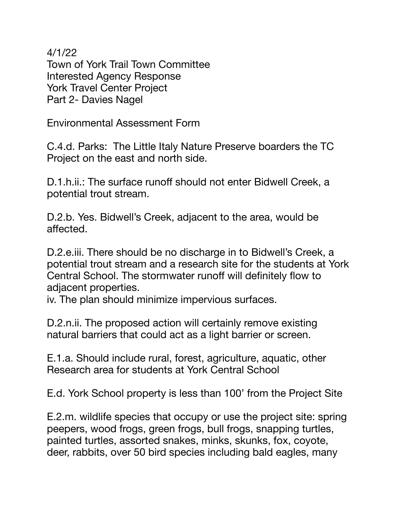4/1/22 Town of York Trail Town Committee Interested Agency Response York Travel Center Project Part 2- Davies Nagel

Environmental Assessment Form

C.4.d. Parks: The Little Italy Nature Preserve boarders the TC Project on the east and north side.

D.1.h.ii.: The surface runoff should not enter Bidwell Creek, a potential trout stream.

D.2.b. Yes. Bidwell's Creek, adjacent to the area, would be affected.

D.2.e.iii. There should be no discharge in to Bidwell's Creek, a potential trout stream and a research site for the students at York Central School. The stormwater runoff will definitely flow to adjacent properties.

iv. The plan should minimize impervious surfaces.

D.2.n.ii. The proposed action will certainly remove existing natural barriers that could act as a light barrier or screen.

E.1.a. Should include rural, forest, agriculture, aquatic, other Research area for students at York Central School

E.d. York School property is less than 100' from the Project Site

E.2.m. wildlife species that occupy or use the project site: spring peepers, wood frogs, green frogs, bull frogs, snapping turtles, painted turtles, assorted snakes, minks, skunks, fox, coyote, deer, rabbits, over 50 bird species including bald eagles, many